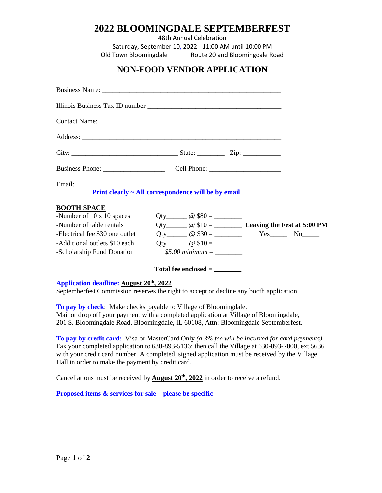# **2022 BLOOMINGDALE SEPTEMBERFEST**

48th Annual Celebration

Saturday, September 10, 2022 11:00 AM until 10:00 PM Old Town Bloomingdale Route 20 and Bloomingdale Road

## **NON-FOOD VENDOR APPLICATION**

|                                 | Print clearly ~ All correspondence will be by email. |                           |
|---------------------------------|------------------------------------------------------|---------------------------|
| <b>BOOTH SPACE</b>              |                                                      |                           |
| -Number of 10 x 10 spaces       |                                                      |                           |
| -Number of table rentals        |                                                      |                           |
| -Electrical fee \$30 one outlet |                                                      | Qty $@ $30 =$ $Yes$ No No |
| -Additional outlets \$10 each   |                                                      |                           |
| -Scholarship Fund Donation      | \$5.00 minimum $=$                                   |                           |
|                                 | $Total fee enclosed = \_\_$                          |                           |

#### **Application deadline: August 20th, 2022**

Septemberfest Commission reserves the right to accept or decline any booth application.

**To pay by check**: Make checks payable to Village of Bloomingdale. Mail or drop off your payment with a completed application at Village of Bloomingdale, 201 S. Bloomingdale Road, Bloomingdale, IL 60108, Attn: Bloomingdale Septemberfest.

**To pay by credit card:** Visa or MasterCard Only *(a 3% fee will be incurred for card payments)* Fax your completed application to 630-893-5136; then call the Village at 630-893-7000, ext 5636 with your credit card number. A completed, signed application must be received by the Village Hall in order to make the payment by credit card.

**\_\_\_\_\_\_\_\_\_\_\_\_\_\_\_\_\_\_\_\_\_\_\_\_\_\_\_\_\_\_\_\_\_\_\_\_\_\_\_\_\_\_\_\_\_\_\_\_\_\_\_\_\_\_\_\_\_\_\_\_\_\_\_\_\_\_\_\_\_\_\_**

**\_\_\_\_\_\_\_\_\_\_\_\_\_\_\_\_\_\_\_\_\_\_\_\_\_\_\_\_\_\_\_\_\_\_\_\_\_\_\_\_\_\_\_\_\_\_\_\_\_\_\_\_\_\_\_\_\_\_\_\_\_\_\_\_\_\_\_\_\_\_\_**

Cancellations must be received by **August 20th, 2022** in order to receive a refund.

### **Proposed items & services for sale – please be specific**